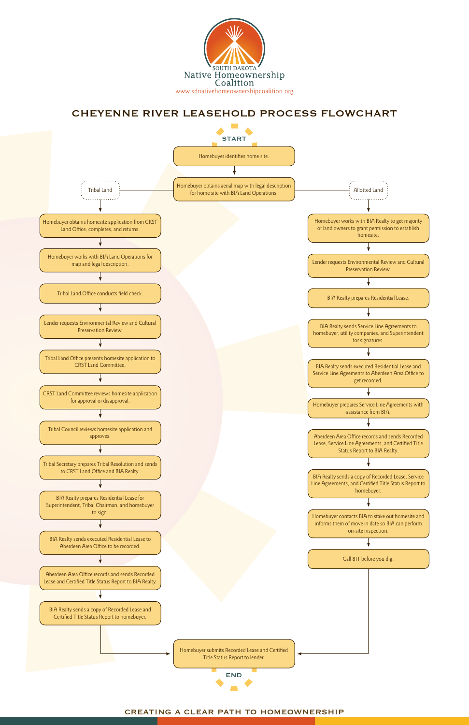

## CHEYENNE RIVER LEASEHOLD PROCESS FLOWCHART

#### creating a clear path to homeownership

END Homebuyer submits Recorded Lease and Certified Title Status Report to lender.

Call 811 before you dig.





BIA Realty sends a copy of Recorded Lease and Certified Title Status Report to homebuyer.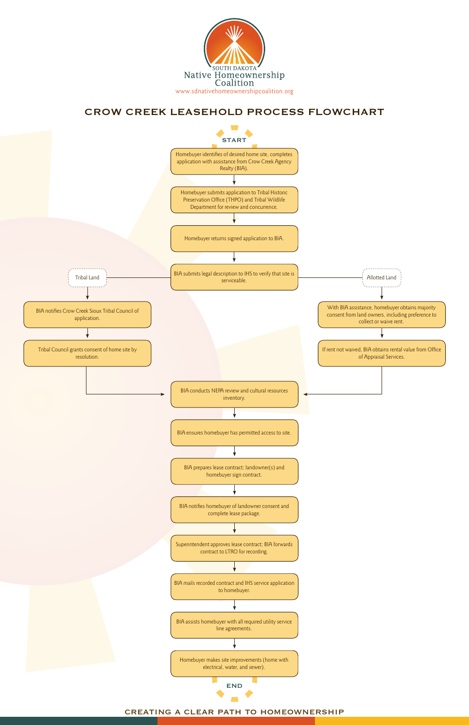

## CROW CREEK LEASEHOLD PROCESS FLOWCHART



creating a clear path to homeownership

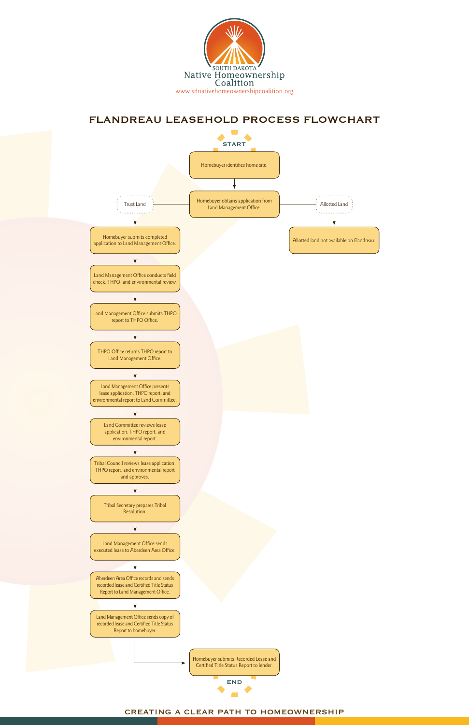

### FLANDREAU LEASEHOLD PROCESS FLOWCHART



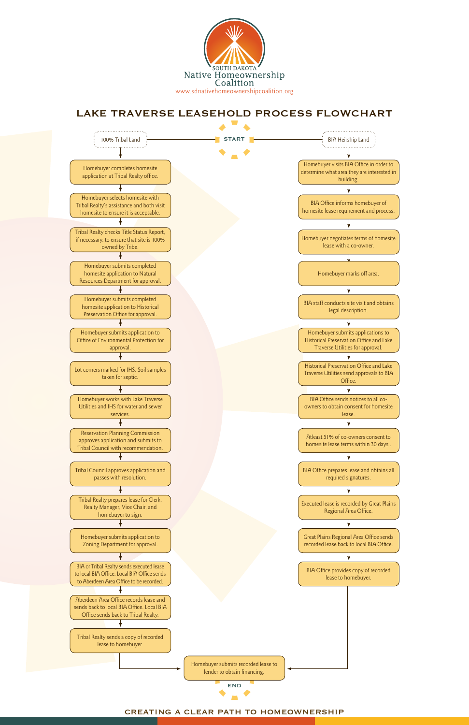

### LAKE TRAVERSE LEASEHOLD PROCESS FLOWCHART



creating a clear path to homeownership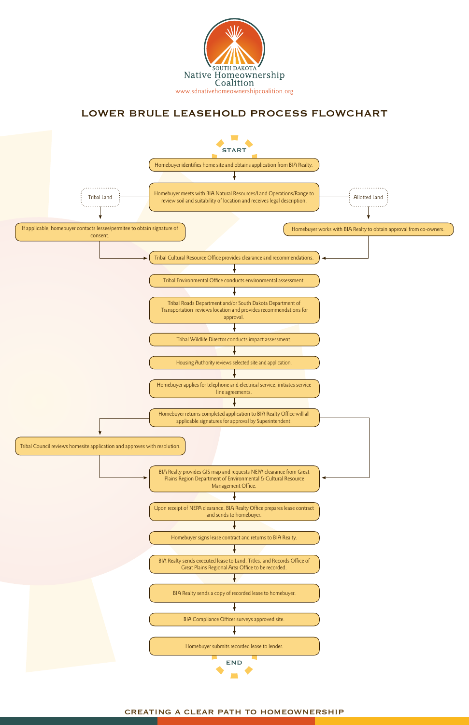

# LOWER BRULE LEASEHOLD PROCESS FLOWCHART

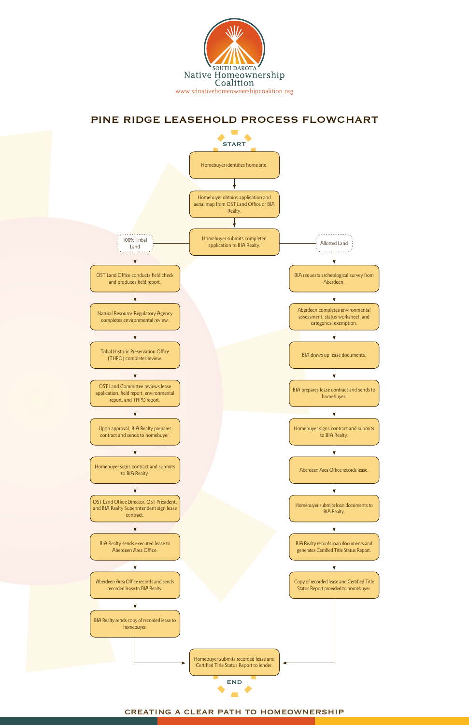

### PINE RIDGE LEASEHOLD PROCESS FLOWCHART

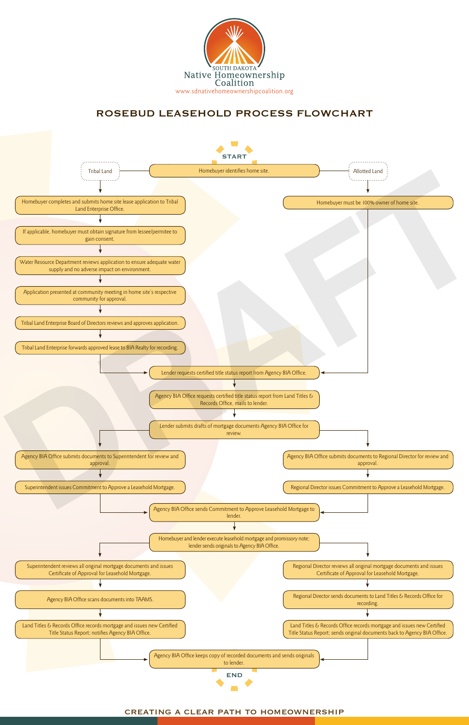

# ROSEBUD LEASEHOLD PROCESS FLOWCHART

#### creating a clear path to homeownership

Homebuyer and lender execute leasehold mortgage and promissory note; lender sends originals to Agency BIA Office.



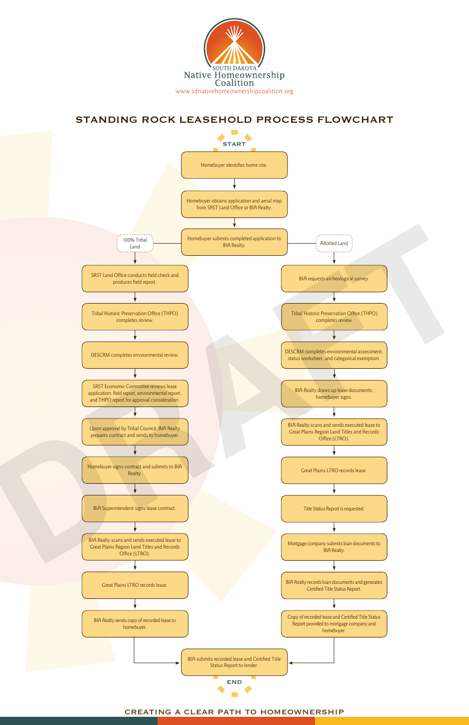

STANDING ROCK LEASEHOLD PROCESS FLOWCHART